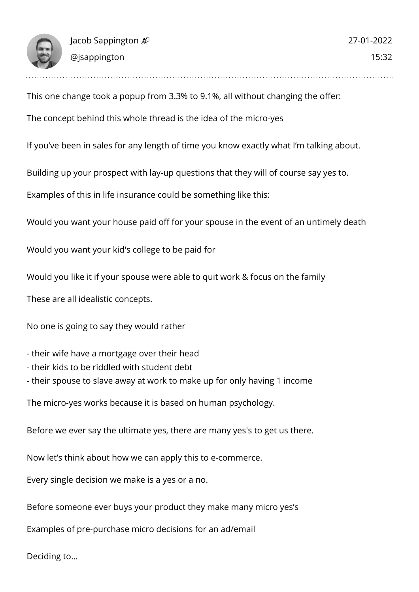

This one change took a popup from 3.3% to 9.1%, all without changing the offer:

The concept behind this whole thread is the idea of the micro-yes

If you've been in sales for any length of time you know exactly what I'm talking about.

Building up your prospect with lay-up questions that they will of course say yes to.

Examples of this in life insurance could be something like this:

Would you want your house paid off for your spouse in the event of an untimely death

Would you want your kid's college to be paid for

Would you like it if your spouse were able to quit work & focus on the family

These are all idealistic concepts.

No one is going to say they would rather

- their wife have a mortgage over their head
- their kids to be riddled with student debt
- their spouse to slave away at work to make up for only having 1 income

The micro-yes works because it is based on human psychology.

Before we ever say the ultimate yes, there are many yes's to get us there.

Now let's think about how we can apply this to e-commerce.

Every single decision we make is a yes or a no.

Before someone ever buys your product they make many micro yes's

Examples of pre-purchase micro decisions for an ad/email

Deciding to…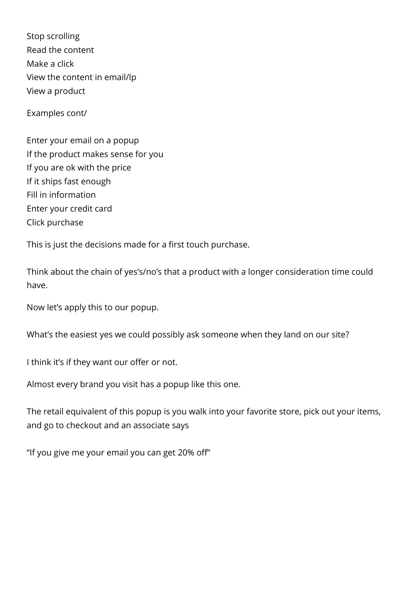Stop scrolling Read the content Make a click View the content in email/lp View a product

Examples cont/

Enter your email on a popup If the product makes sense for you If you are ok with the price If it ships fast enough Fill in information Enter your credit card Click purchase

This is just the decisions made for a first touch purchase.

Think about the chain of yes's/no's that a product with a longer consideration time could have.

Now let's apply this to our popup.

What's the easiest yes we could possibly ask someone when they land on our site?

I think it's if they want our offer or not.

Almost every brand you visit has a popup like this one.

The retail equivalent of this popup is you walk into your favorite store, pick out your items, and go to checkout and an associate says

"If you give me your email you can get 20% off"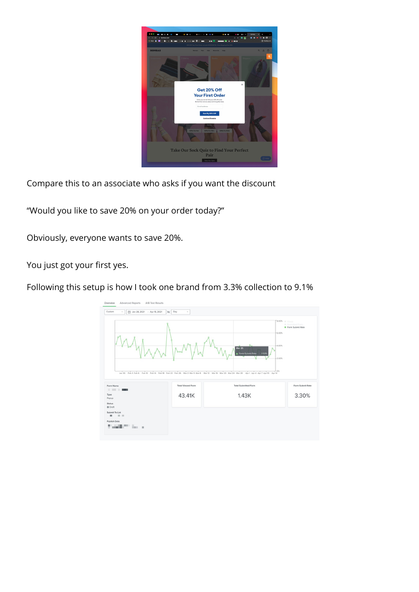

Compare this to an associate who asks if you want the discount

"Would you like to save 20% on your order today?"

Obviously, everyone wants to save 20%.

You just got your first yes.

Following this setup is how I took one brand from 3.3% collection to 9.1%

| $\boxed{=}$ Jan 28, 2021 - Apr 15, 2021<br>Day<br>by | $\mathcal{L}$            |                                                                                                                                                                                  |                                                                                                           |
|------------------------------------------------------|--------------------------|----------------------------------------------------------------------------------------------------------------------------------------------------------------------------------|-----------------------------------------------------------------------------------------------------------|
|                                                      |                          | Mar 25<br>Form Submit Rate : 3.53%<br>Jan 30 Feb 3 Feb 6 Feb 10 Feb 14 Feb 18 Feb 22 Feb 26 Mar 2 Mar 5 Mar 8 Mar 12 Mar 16 Mar 20 Mar 24 Mar 28 Apr 1 Apr 4 Apr 7 Apr 10 Apr 14 | 8.00% @ Views<br>Submitted Form<br><b>•</b> Form Submit Rate<br>$-6.00%$<br>$-4.00%$<br>$-2.00%$<br>$+0%$ |
|                                                      | <b>Total Viewed Form</b> | <b>Total Submitted Form</b>                                                                                                                                                      | Form Submit Rate                                                                                          |
|                                                      | 43.41K                   | 1.43K                                                                                                                                                                            | 3.30%                                                                                                     |
|                                                      |                          |                                                                                                                                                                                  |                                                                                                           |
|                                                      |                          |                                                                                                                                                                                  |                                                                                                           |
|                                                      |                          |                                                                                                                                                                                  |                                                                                                           |
|                                                      |                          |                                                                                                                                                                                  |                                                                                                           |
|                                                      |                          |                                                                                                                                                                                  |                                                                                                           |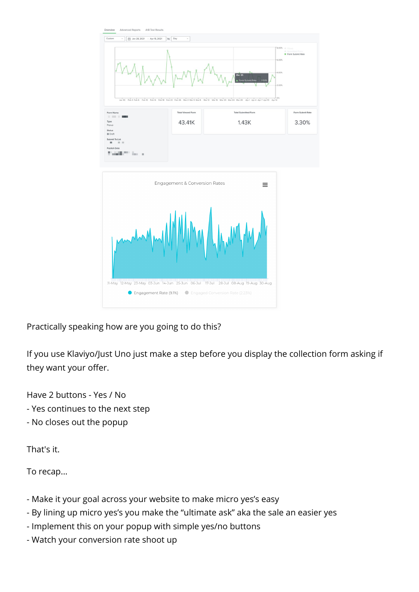

Practically speaking how are you going to do this?

If you use Klaviyo/Just Uno just make a step before you display the collection form asking if they want your offer.

Have 2 buttons - Yes / No

- Yes continues to the next step
- No closes out the popup

That's it.

To recap...

- Make it your goal across your website to make micro yes's easy
- By lining up micro yes's you make the "ultimate ask" aka the sale an easier yes
- Implement this on your popup with simple yes/no buttons
- Watch your conversion rate shoot up